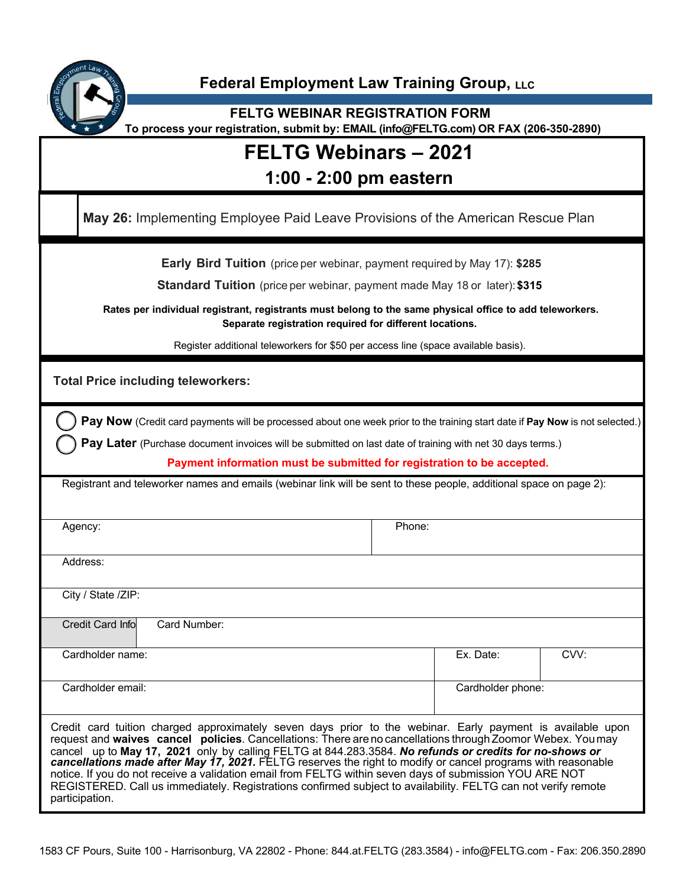

#### **Federal Employment Law Training Group, LLC**

**FELTG WEBINAR REGISTRATION FORM To process your registration, submit by: EMAIL (info@FELTG.com) OR FAX (206-350-2890)**

# **FELTG Webinars – 2021**

### **1:00 - 2:00 pm eastern**

**May 26:** Implementing Employee Paid Leave Provisions of the American Rescue Plan

**Early Bird Tuition** (price per webinar, payment required by May 17): **\$285**

**Standard Tuition** (price per webinar, payment made May 18 or later):**\$315**

**Rates per individual registrant, registrants must belong to the same physical office to add teleworkers. Separate registration required for different locations.**

Register additional teleworkers for \$50 per access line (space available basis).

**Total Price including teleworkers:**

**Pay Now** (Credit card payments will be processed about one week prior to the training start date if **Pay Now** is not selected.)

**Pay Later** (Purchase document invoices will be submitted on last date of training with net 30 days terms.)

**Payment information must be submitted for registration to be accepted.**

Registrant and teleworker names and emails (webinar link will be sent to these people, additional space on page 2):

| Agency:                                                                                                                                                                                                                                                                                                                                                                                                                                                                                                                                                        |              | Phone:            |           |      |
|----------------------------------------------------------------------------------------------------------------------------------------------------------------------------------------------------------------------------------------------------------------------------------------------------------------------------------------------------------------------------------------------------------------------------------------------------------------------------------------------------------------------------------------------------------------|--------------|-------------------|-----------|------|
| Address:                                                                                                                                                                                                                                                                                                                                                                                                                                                                                                                                                       |              |                   |           |      |
| City / State /ZIP:                                                                                                                                                                                                                                                                                                                                                                                                                                                                                                                                             |              |                   |           |      |
| <b>Credit Card Info</b>                                                                                                                                                                                                                                                                                                                                                                                                                                                                                                                                        | Card Number: |                   |           |      |
| Cardholder name:                                                                                                                                                                                                                                                                                                                                                                                                                                                                                                                                               |              |                   | Ex. Date: | CVV: |
| Cardholder email:                                                                                                                                                                                                                                                                                                                                                                                                                                                                                                                                              |              | Cardholder phone: |           |      |
| Credit card tuition charged approximately seven days prior to the webinar. Early payment is available upon<br>request and waives cancel policies. Cancellations: There are no cancellations through Zoomor Webex. You may<br>cancel up to May 17, 2021 only by calling FELTG at 844.283.3584. No refunds or credits for no-shows or<br>cancellations made after May 17, 2021. FELTG reserves the right to modify or cancel programs with reasonable<br>notice. If you do not receive a validation email from FELTG within seven days of submission YOU ARE NOT |              |                   |           |      |

REGISTERED. Call us immediately. Registrations confirmed subject to availability. FELTG can not verify remote participation.